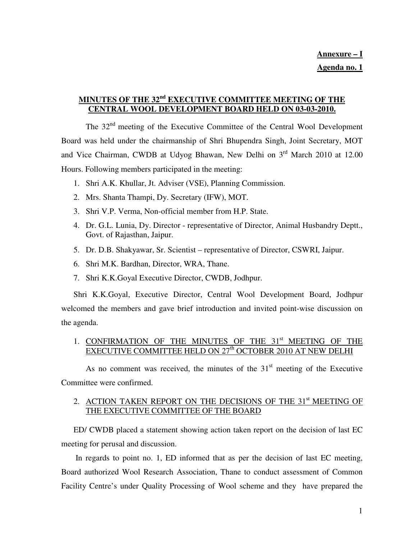# **MINUTES OF THE 32nd EXECUTIVE COMMITTEE MEETING OF THE CENTRAL WOOL DEVELOPMENT BOARD HELD ON 03-03-2010.**

 The 32nd meeting of the Executive Committee of the Central Wool Development Board was held under the chairmanship of Shri Bhupendra Singh, Joint Secretary, MOT and Vice Chairman, CWDB at Udyog Bhawan, New Delhi on 3rd March 2010 at 12.00 Hours. Following members participated in the meeting:

- 1. Shri A.K. Khullar, Jt. Adviser (VSE), Planning Commission.
- 2. Mrs. Shanta Thampi, Dy. Secretary (IFW), MOT.
- 3. Shri V.P. Verma, Non-official member from H.P. State.
- 4. Dr. G.L. Lunia, Dy. Director representative of Director, Animal Husbandry Deptt., Govt. of Rajasthan, Jaipur.
- 5. Dr. D.B. Shakyawar, Sr. Scientist representative of Director, CSWRI, Jaipur.
- 6. Shri M.K. Bardhan, Director, WRA, Thane.
- 7. Shri K.K.Goyal Executive Director, CWDB, Jodhpur.

Shri K.K.Goyal, Executive Director, Central Wool Development Board, Jodhpur welcomed the members and gave brief introduction and invited point-wise discussion on the agenda.

### 1. CONFIRMATION OF THE MINUTES OF THE 31<sup>st</sup> MEETING OF THE EXECUTIVE COMMITTEE HELD ON 27<sup>th</sup> OCTOBER 2010 AT NEW DELHI

As no comment was received, the minutes of the  $31<sup>st</sup>$  meeting of the Executive Committee were confirmed.

# 2. ACTION TAKEN REPORT ON THE DECISIONS OF THE 31<sup>st</sup> MEETING OF THE EXECUTIVE COMMITTEE OF THE BOARD

ED/ CWDB placed a statement showing action taken report on the decision of last EC meeting for perusal and discussion.

 In regards to point no. 1, ED informed that as per the decision of last EC meeting, Board authorized Wool Research Association, Thane to conduct assessment of Common Facility Centre's under Quality Processing of Wool scheme and they have prepared the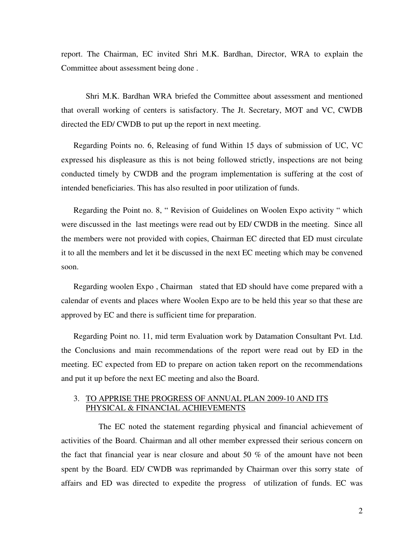report. The Chairman, EC invited Shri M.K. Bardhan, Director, WRA to explain the Committee about assessment being done .

 Shri M.K. Bardhan WRA briefed the Committee about assessment and mentioned that overall working of centers is satisfactory. The Jt. Secretary, MOT and VC, CWDB directed the ED/ CWDB to put up the report in next meeting.

Regarding Points no. 6, Releasing of fund Within 15 days of submission of UC, VC expressed his displeasure as this is not being followed strictly, inspections are not being conducted timely by CWDB and the program implementation is suffering at the cost of intended beneficiaries. This has also resulted in poor utilization of funds.

Regarding the Point no. 8, " Revision of Guidelines on Woolen Expo activity " which were discussed in the last meetings were read out by ED/ CWDB in the meeting. Since all the members were not provided with copies, Chairman EC directed that ED must circulate it to all the members and let it be discussed in the next EC meeting which may be convened soon.

Regarding woolen Expo , Chairman stated that ED should have come prepared with a calendar of events and places where Woolen Expo are to be held this year so that these are approved by EC and there is sufficient time for preparation.

Regarding Point no. 11, mid term Evaluation work by Datamation Consultant Pvt. Ltd. the Conclusions and main recommendations of the report were read out by ED in the meeting. EC expected from ED to prepare on action taken report on the recommendations and put it up before the next EC meeting and also the Board.

#### 3. TO APPRISE THE PROGRESS OF ANNUAL PLAN 2009-10 AND ITS PHYSICAL & FINANCIAL ACHIEVEMENTS

 The EC noted the statement regarding physical and financial achievement of activities of the Board. Chairman and all other member expressed their serious concern on the fact that financial year is near closure and about 50 % of the amount have not been spent by the Board. ED/ CWDB was reprimanded by Chairman over this sorry state of affairs and ED was directed to expedite the progress of utilization of funds. EC was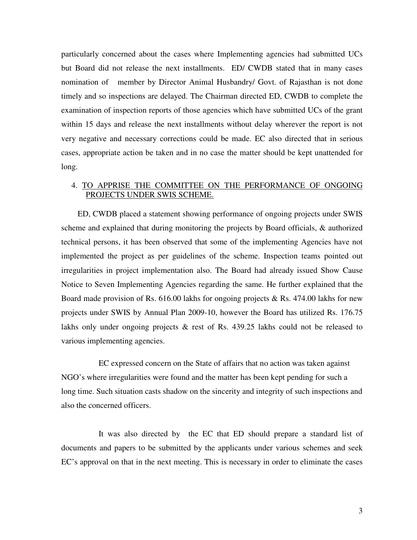particularly concerned about the cases where Implementing agencies had submitted UCs but Board did not release the next installments. ED/ CWDB stated that in many cases nomination of member by Director Animal Husbandry/ Govt. of Rajasthan is not done timely and so inspections are delayed. The Chairman directed ED, CWDB to complete the examination of inspection reports of those agencies which have submitted UCs of the grant within 15 days and release the next installments without delay wherever the report is not very negative and necessary corrections could be made. EC also directed that in serious cases, appropriate action be taken and in no case the matter should be kept unattended for long.

#### 4. TO APPRISE THE COMMITTEE ON THE PERFORMANCE OF ONGOING PROJECTS UNDER SWIS SCHEME.

 ED, CWDB placed a statement showing performance of ongoing projects under SWIS scheme and explained that during monitoring the projects by Board officials, & authorized technical persons, it has been observed that some of the implementing Agencies have not implemented the project as per guidelines of the scheme. Inspection teams pointed out irregularities in project implementation also. The Board had already issued Show Cause Notice to Seven Implementing Agencies regarding the same. He further explained that the Board made provision of Rs. 616.00 lakhs for ongoing projects & Rs. 474.00 lakhs for new projects under SWIS by Annual Plan 2009-10, however the Board has utilized Rs. 176.75 lakhs only under ongoing projects & rest of Rs. 439.25 lakhs could not be released to various implementing agencies.

 EC expressed concern on the State of affairs that no action was taken against NGO's where irregularities were found and the matter has been kept pending for such a long time. Such situation casts shadow on the sincerity and integrity of such inspections and also the concerned officers.

 It was also directed by the EC that ED should prepare a standard list of documents and papers to be submitted by the applicants under various schemes and seek EC's approval on that in the next meeting. This is necessary in order to eliminate the cases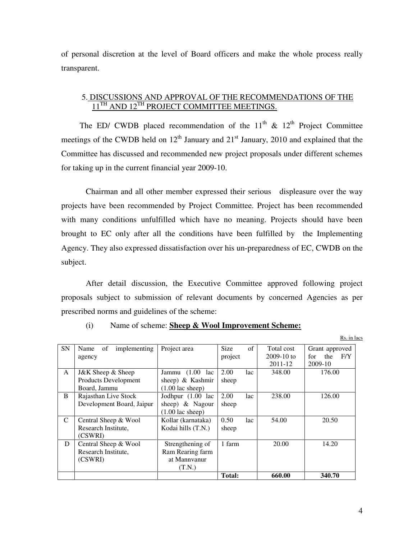of personal discretion at the level of Board officers and make the whole process really transparent.

#### 5. DISCUSSIONS AND APPROVAL OF THE RECOMMENDATIONS OF THE  $11^{TH}$  AND  $12^{TH}$  PROJECT COMMITTEE MEETINGS.

The ED/ CWDB placed recommendation of the  $11<sup>th</sup>$  &  $12<sup>th</sup>$  Project Committee meetings of the CWDB held on  $12<sup>th</sup>$  January and  $21<sup>st</sup>$  January, 2010 and explained that the Committee has discussed and recommended new project proposals under different schemes for taking up in the current financial year 2009-10.

Chairman and all other member expressed their serious displeasure over the way projects have been recommended by Project Committee. Project has been recommended with many conditions unfulfilled which have no meaning. Projects should have been brought to EC only after all the conditions have been fulfilled by the Implementing Agency. They also expressed dissatisfaction over his un-preparedness of EC, CWDB on the subject.

After detail discussion, the Executive Committee approved following project proposals subject to submission of relevant documents by concerned Agencies as per prescribed norms and guidelines of the scheme:

| <b>SN</b>    | of<br>implementing<br>Name | Project area               | <b>Size</b>   | of  | Total cost   | Grant approved    |
|--------------|----------------------------|----------------------------|---------------|-----|--------------|-------------------|
|              | agency                     |                            | project       |     | $2009-10$ to | F/Y<br>for<br>the |
|              |                            |                            |               |     | 2011-12      | 2009-10           |
| $\mathsf{A}$ | J&K Sheep & Sheep          | Jammu $(1.00)$<br>lac      | 2.00          | lac | 348.00       | 176.00            |
|              | Products Development       | sheep) & Kashmir           | sheep         |     |              |                   |
|              | Board, Jammu               | $(1.00 \text{ lac sheep})$ |               |     |              |                   |
| B            | Rajasthan Live Stock       | Jodhpur (1.00 lac          | 2.00          | lac | 238.00       | 126.00            |
|              | Development Board, Jaipur  | sheep) $\&$ Nagour         | sheep         |     |              |                   |
|              |                            | $(1.00 \text{ lac sheep})$ |               |     |              |                   |
| C            | Central Sheep & Wool       | Kollar (karnataka)         | 0.50          | lac | 54.00        | 20.50             |
|              | Research Institute,        | Kodai hills (T.N.)         | sheep         |     |              |                   |
|              | (CSWRI)                    |                            |               |     |              |                   |
| D            | Central Sheep & Wool       | Strengthening of           | 1 farm        |     | 20.00        | 14.20             |
|              | Research Institute.        | Ram Rearing farm           |               |     |              |                   |
|              | (CSWRI)                    | at Mannvanur               |               |     |              |                   |
|              |                            | (T.N.)                     |               |     |              |                   |
|              |                            |                            | <b>Total:</b> |     | 660.00       | 340.70            |

(i) Name of scheme: **Sheep & Wool Improvement Scheme:**

Rs. in lacs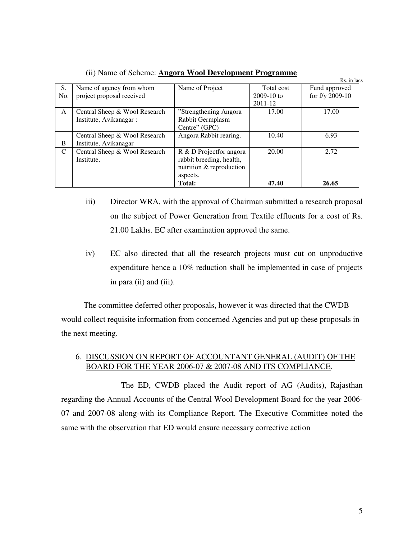|     |                               |                          |              | Rs. in lacs     |
|-----|-------------------------------|--------------------------|--------------|-----------------|
| S.  | Name of agency from whom      | Name of Project          | Total cost   | Fund approved   |
| No. | project proposal received     |                          | $2009-10$ to | for f/y 2009-10 |
|     |                               |                          | $2011 - 12$  |                 |
| A   | Central Sheep & Wool Research | "Strengthening Angora"   | 17.00        | 17.00           |
|     | Institute, Avikanagar:        | Rabbit Germplasm         |              |                 |
|     |                               | Centre" (GPC)            |              |                 |
|     | Central Sheep & Wool Research | Angora Rabbit rearing.   | 10.40        | 6.93            |
| B   | Institute, Avikanagar         |                          |              |                 |
| C   | Central Sheep & Wool Research | R & D Projectfor angora  | 20.00        | 2.72            |
|     | Institute.                    | rabbit breeding, health, |              |                 |
|     |                               | nutrition & reproduction |              |                 |
|     |                               | aspects.                 |              |                 |
|     |                               | <b>Total:</b>            | 47.40        | 26.65           |

(ii) Name of Scheme: **Angora Wool Development Programme**

- iii) Director WRA, with the approval of Chairman submitted a research proposal on the subject of Power Generation from Textile effluents for a cost of Rs. 21.00 Lakhs. EC after examination approved the same.
- iv) EC also directed that all the research projects must cut on unproductive expenditure hence a 10% reduction shall be implemented in case of projects in para (ii) and (iii).

 The committee deferred other proposals, however it was directed that the CWDB would collect requisite information from concerned Agencies and put up these proposals in the next meeting.

## 6. DISCUSSION ON REPORT OF ACCOUNTANT GENERAL (AUDIT) OF THE BOARD FOR THE YEAR 2006-07 & 2007-08 AND ITS COMPLIANCE.

 The ED, CWDB placed the Audit report of AG (Audits), Rajasthan regarding the Annual Accounts of the Central Wool Development Board for the year 2006- 07 and 2007-08 along-with its Compliance Report. The Executive Committee noted the same with the observation that ED would ensure necessary corrective action